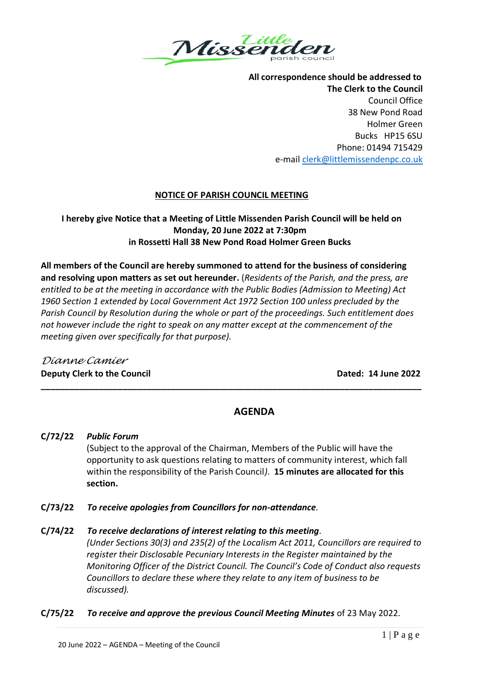

**All correspondence should be addressed to The Clerk to the Council** Council Office 38 New Pond Road Holmer Green Bucks HP15 6SU Phone: 01494 715429 e-mail [clerk@littlemissendenpc.co.uk](mailto:clerk@littlemissendenpc.co.uk)

## **NOTICE OF PARISH COUNCIL MEETING**

# **I hereby give Notice that a Meeting of Little Missenden Parish Council will be held on Monday, 20 June 2022 at 7:30pm in Rossetti Hall 38 New Pond Road Holmer Green Bucks**

**All members of the Council are hereby summoned to attend for the business of considering and resolving upon matters as set out hereunder.** (*Residents of the Parish, and the press, are entitled to be at the meeting in accordance with the Public Bodies (Admission to Meeting) Act 1960 Section 1 extended by Local Government Act 1972 Section 100 unless precluded by the Parish Council by Resolution during the whole or part of the proceedings. Such entitlement does not however include the right to speak on any matter except at the commencement of the meeting given over specifically for that purpose).*

**\_\_\_\_\_\_\_\_\_\_\_\_\_\_\_\_\_\_\_\_\_\_\_\_\_\_\_\_\_\_\_\_\_\_\_\_\_\_\_\_\_\_\_\_\_\_\_\_\_\_\_\_\_\_\_\_\_\_\_\_\_\_\_\_\_\_\_\_\_\_\_\_\_\_\_\_\_\_\_**

# *Dianne Camier* **Deputy Clerk to the Council Dated: 14 June 2022**

# **AGENDA**

# **C/72/22** *Public Forum*

(Subject to the approval of the Chairman, Members of the Public will have the opportunity to ask questions relating to matters of community interest, which fall within the responsibility of the Parish Council*)*. **15 minutes are allocated for this section.**

**C/73/22** *To receive apologies from Councillors for non-attendance.*

# **C/74/22** *To receive declarations of interest relating to this meeting.*

*(Under Sections 30(3) and 235(2) of the Localism Act 2011, Councillors are required to register their Disclosable Pecuniary Interests in the Register maintained by the Monitoring Officer of the District Council. The Council's Code of Conduct also requests Councillors to declare these where they relate to any item of business to be discussed).*

# **C/75/22** *To receive and approve the previous Council Meeting Minutes* of 23 May 2022.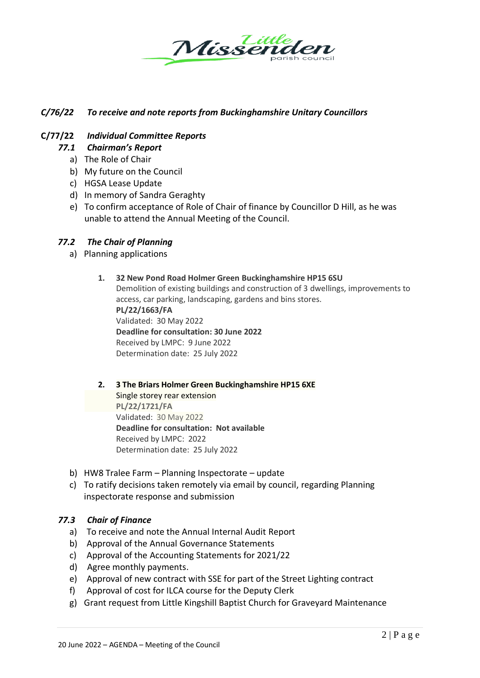

# *C/76/22 To receive and note reports from Buckinghamshire Unitary Councillors*

#### **C/77/22** *Individual Committee Reports*

- *77.1 Chairman's Report*
	- a) The Role of Chair
	- b) My future on the Council
	- c) HGSA Lease Update
	- d) In memory of Sandra Geraghty
	- e) To confirm acceptance of Role of Chair of finance by Councillor D Hill, as he was unable to attend the Annual Meeting of the Council.

#### *77.2 The Chair of Planning*

a) Planning applications

#### **1. 32 New Pond Road Holmer Green Buckinghamshire HP15 6SU**

Demolition of existing buildings and construction of 3 dwellings, improvements to access, car parking, landscaping, gardens and bins stores. **PL/22/1663/FA** Validated: 30 May 2022 **Deadline for consultation: 30 June 2022** Received by LMPC: 9 June 2022

# **2. 3 The Briars Holmer Green Buckinghamshire HP15 6XE** Single storey rear extension **PL/22/1721/FA** Validated: 30 May 2022

**Deadline for consultation: Not available** Received by LMPC: 2022 Determination date: 25 July 2022

b) HW8 Tralee Farm – Planning Inspectorate – update

Determination date: 25 July 2022

c) To ratify decisions taken remotely via email by council, regarding Planning inspectorate response and submission

#### *77.3 Chair of Finance*

- a) To receive and note the Annual Internal Audit Report
- b) Approval of the Annual Governance Statements
- c) Approval of the Accounting Statements for 2021/22
- d) Agree monthly payments.
- e) Approval of new contract with SSE for part of the Street Lighting contract
- f) Approval of cost for ILCA course for the Deputy Clerk
- g) Grant request from Little Kingshill Baptist Church for Graveyard Maintenance